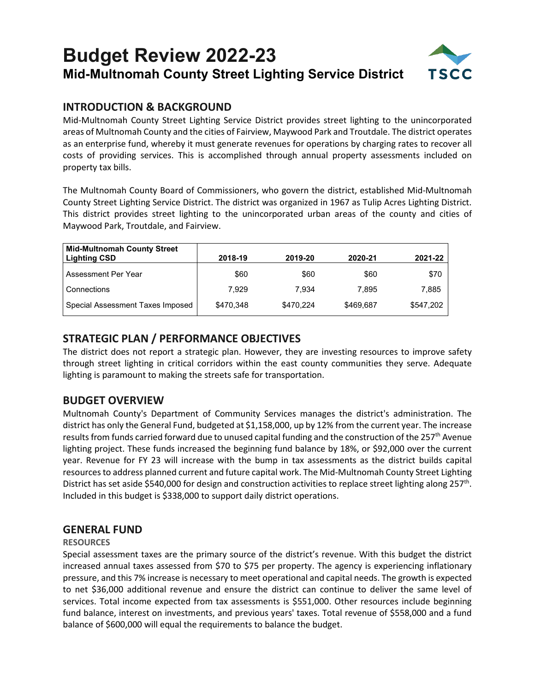## **Budget Review 2022-23 Mid-Multnomah County Street Lighting Service District**



## **INTRODUCTION & BACKGROUND**

Mid-Multnomah County Street Lighting Service District provides street lighting to the unincorporated areas of Multnomah County and the cities of Fairview, Maywood Park and Troutdale. The district operates as an enterprise fund, whereby it must generate revenues for operations by charging rates to recover all costs of providing services. This is accomplished through annual property assessments included on property tax bills.

The Multnomah County Board of Commissioners, who govern the district, established Mid-Multnomah County Street Lighting Service District. The district was organized in 1967 as Tulip Acres Lighting District. This district provides street lighting to the unincorporated urban areas of the county and cities of Maywood Park, Troutdale, and Fairview.

| <b>Mid-Multnomah County Street</b><br><b>Lighting CSD</b> | 2018-19   | 2019-20   | 2020-21   | 2021-22   |
|-----------------------------------------------------------|-----------|-----------|-----------|-----------|
| Assessment Per Year                                       | \$60      | \$60      | \$60      | \$70      |
| Connections                                               | 7.929     | 7.934     | 7.895     | 7.885     |
| Special Assessment Taxes Imposed                          | \$470.348 | \$470.224 | \$469.687 | \$547.202 |

## **STRATEGIC PLAN / PERFORMANCE OBJECTIVES**

The district does not report a strategic plan. However, they are investing resources to improve safety through street lighting in critical corridors within the east county communities they serve. Adequate lighting is paramount to making the streets safe for transportation.

## **BUDGET OVERVIEW**

Multnomah County's Department of Community Services manages the district's administration. The district has only the General Fund, budgeted at \$1,158,000, up by 12% from the current year. The increase results from funds carried forward due to unused capital funding and the construction of the 257<sup>th</sup> Avenue lighting project. These funds increased the beginning fund balance by 18%, or \$92,000 over the current year. Revenue for FY 23 will increase with the bump in tax assessments as the district builds capital resourcesto address planned current and future capital work. The Mid-Multnomah County Street Lighting District has set aside \$540,000 for design and construction activities to replace street lighting along 257<sup>th</sup>. Included in this budget is \$338,000 to support daily district operations.

## **GENERAL FUND**

#### **RESOURCES**

Special assessment taxes are the primary source of the district's revenue. With this budget the district increased annual taxes assessed from \$70 to \$75 per property. The agency is experiencing inflationary pressure, and this 7% increase is necessary to meet operational and capital needs. The growth is expected to net \$36,000 additional revenue and ensure the district can continue to deliver the same level of services. Total income expected from tax assessments is \$551,000. Other resources include beginning fund balance, interest on investments, and previous years' taxes. Total revenue of \$558,000 and a fund balance of \$600,000 will equal the requirements to balance the budget.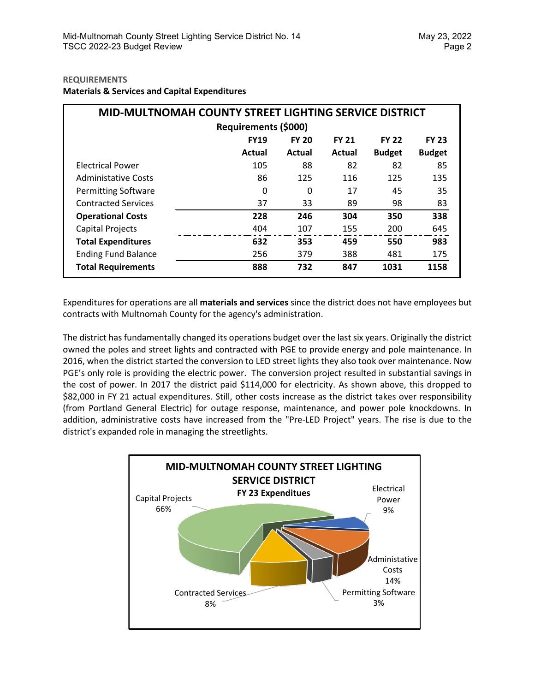#### **REQUIREMENTS**

**Materials & Services and Capital Expenditures**

| MID-MULTNOMAH COUNTY STREET LIGHTING SERVICE DISTRICT |             |              |              |               |               |  |  |  |
|-------------------------------------------------------|-------------|--------------|--------------|---------------|---------------|--|--|--|
| <b>Requirements (\$000)</b>                           |             |              |              |               |               |  |  |  |
|                                                       | <b>FY19</b> | <b>FY 20</b> | <b>FY 21</b> | <b>FY 22</b>  | <b>FY 23</b>  |  |  |  |
|                                                       | Actual      | Actual       | Actual       | <b>Budget</b> | <b>Budget</b> |  |  |  |
| <b>Electrical Power</b>                               | 105         | 88           | 82           | 82            | 85            |  |  |  |
| <b>Administative Costs</b>                            | 86          | 125          | 116          | 125           | 135           |  |  |  |
| <b>Permitting Software</b>                            | 0           | 0            | 17           | 45            | 35            |  |  |  |
| <b>Contracted Services</b>                            | 37          | 33           | 89           | 98            | 83            |  |  |  |
| <b>Operational Costs</b>                              | 228         | 246          | 304          | 350           | 338           |  |  |  |
| Capital Projects                                      | 404         | 107          | 155          | 200           | 645           |  |  |  |
| <b>Total Expenditures</b>                             | 632         | 353          | 459          | 550           | 983           |  |  |  |
| <b>Ending Fund Balance</b>                            | 256         | 379          | 388          | 481           | 175           |  |  |  |
| <b>Total Requirements</b>                             | 888         | 732          | 847          | 1031          | 1158          |  |  |  |

Expenditures for operations are all **materials and services** since the district does not have employees but contracts with Multnomah County for the agency's administration.

The district has fundamentally changed its operations budget over the last six years. Originally the district owned the poles and street lights and contracted with PGE to provide energy and pole maintenance. In 2016, when the district started the conversion to LED street lights they also took over maintenance. Now PGE's only role is providing the electric power. The conversion project resulted in substantial savings in the cost of power. In 2017 the district paid \$114,000 for electricity. As shown above, this dropped to \$82,000 in FY 21 actual expenditures. Still, other costs increase as the district takes over responsibility (from Portland General Electric) for outage response, maintenance, and power pole knockdowns. In addition, administrative costs have increased from the "Pre-LED Project" years. The rise is due to the district's expanded role in managing the streetlights.

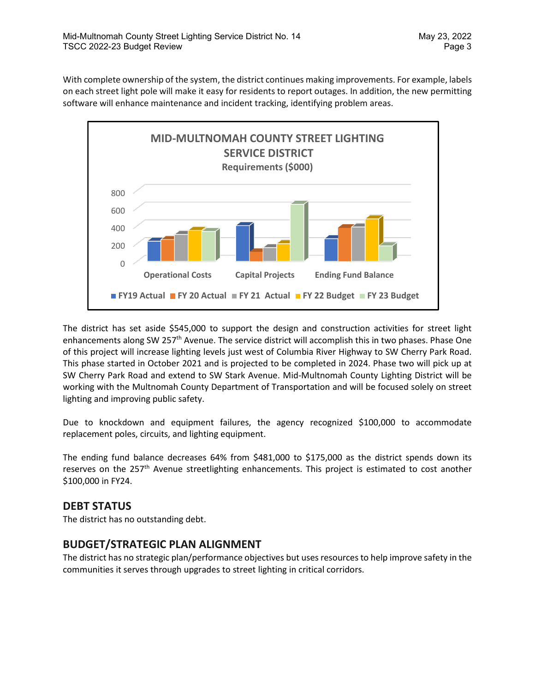With complete ownership of the system, the district continues making improvements. For example, labels on each street light pole will make it easy for residents to report outages. In addition, the new permitting software will enhance maintenance and incident tracking, identifying problem areas.



The district has set aside \$545,000 to support the design and construction activities for street light enhancements along SW 257<sup>th</sup> Avenue. The service district will accomplish this in two phases. Phase One of this project will increase lighting levels just west of Columbia River Highway to SW Cherry Park Road. This phase started in October 2021 and is projected to be completed in 2024. Phase two will pick up at SW Cherry Park Road and extend to SW Stark Avenue. Mid-Multnomah County Lighting District will be working with the Multnomah County Department of Transportation and will be focused solely on street lighting and improving public safety.

Due to knockdown and equipment failures, the agency recognized \$100,000 to accommodate replacement poles, circuits, and lighting equipment.

The ending fund balance decreases 64% from \$481,000 to \$175,000 as the district spends down its reserves on the 257<sup>th</sup> Avenue streetlighting enhancements. This project is estimated to cost another \$100,000 in FY24.

#### **DEBT STATUS**

The district has no outstanding debt.

## **BUDGET/STRATEGIC PLAN ALIGNMENT**

The district has no strategic plan/performance objectives but uses resources to help improve safety in the communities it serves through upgrades to street lighting in critical corridors.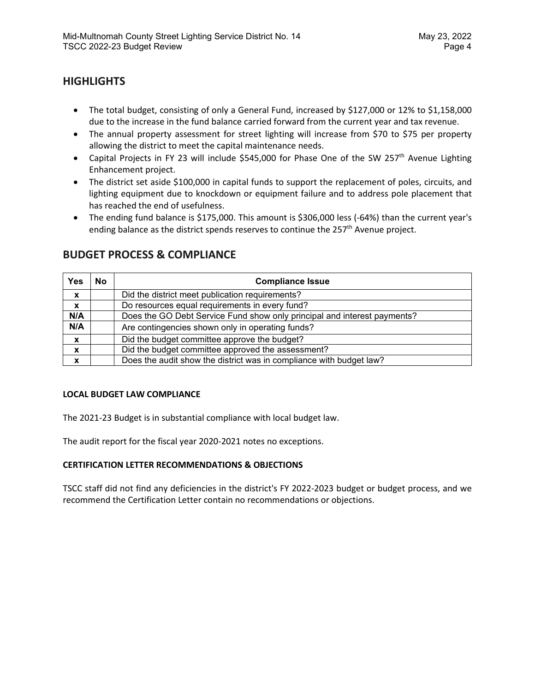## **HIGHLIGHTS**

- The total budget, consisting of only a General Fund, increased by \$127,000 or 12% to \$1,158,000 due to the increase in the fund balance carried forward from the current year and tax revenue.
- The annual property assessment for street lighting will increase from \$70 to \$75 per property allowing the district to meet the capital maintenance needs.
- Capital Projects in FY 23 will include \$545,000 for Phase One of the SW 257<sup>th</sup> Avenue Lighting Enhancement project.
- The district set aside \$100,000 in capital funds to support the replacement of poles, circuits, and lighting equipment due to knockdown or equipment failure and to address pole placement that has reached the end of usefulness.
- The ending fund balance is \$175,000. This amount is \$306,000 less (-64%) than the current year's ending balance as the district spends reserves to continue the  $257<sup>th</sup>$  Avenue project.

| Yes              | No | <b>Compliance Issue</b>                                                  |
|------------------|----|--------------------------------------------------------------------------|
| $\boldsymbol{x}$ |    | Did the district meet publication requirements?                          |
| $\boldsymbol{x}$ |    | Do resources equal requirements in every fund?                           |
| N/A              |    | Does the GO Debt Service Fund show only principal and interest payments? |
| N/A              |    | Are contingencies shown only in operating funds?                         |
| $\boldsymbol{x}$ |    | Did the budget committee approve the budget?                             |
| X                |    | Did the budget committee approved the assessment?                        |
| X                |    | Does the audit show the district was in compliance with budget law?      |

## **BUDGET PROCESS & COMPLIANCE**

#### **LOCAL BUDGET LAW COMPLIANCE**

The 2021-23 Budget is in substantial compliance with local budget law.

The audit report for the fiscal year 2020-2021 notes no exceptions.

#### **CERTIFICATION LETTER RECOMMENDATIONS & OBJECTIONS**

TSCC staff did not find any deficiencies in the district's FY 2022-2023 budget or budget process, and we recommend the Certification Letter contain no recommendations or objections.